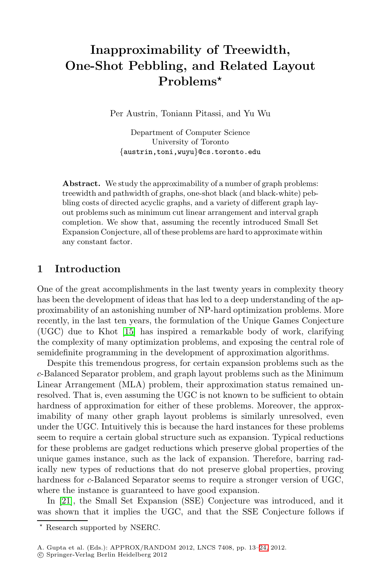# **Inapproximability of Treewidth, One-Shot Pebbling, and Related Layout Problems***-*

Per Austrin, Toniann Pitassi, and Yu Wu

Department of Computer Science University of Toronto *{*austrin,toni,wuyu*}*@cs.toronto.edu

**Abstract.** We study the approximability of a number of graph problems: treewidth and pathwidth of graphs, one-shot black (and black-white) pebbling costs of directed acyclic graphs, and a variety of different graph layout problems such as minimum cut linear arrangement and interval graph completion. We show that, assuming the recently introduced Small Set Expansion Conjecture, all of these problems are hard to approximate within any constant factor.

# **1 Introduction**

One of the great accomplishments in the last twenty years in complexity theory has been the development of ideas that has led to a deep understanding of the approximability of an astonishing number of NP-hard optimization problems. More recently, in the last ten years, the formulation of the Unique Games Conjecture (UGC) due to Khot [15] has inspired a remarkable body of work, clarifying the complexity of many optimization problems, and exposing the central role of semidefinite programming in the development of approximation algorithms.

Despite this tremendous progress, for certain expansion problems such as the c-Balanced Separator problem, and graph layout problems such as the Minimum Linear Arrangement (MLA) problem, their approximation status remained unresolved. That is, even assuming the UGC is not known to be sufficient to obtain hardness of approximation for either of these problems. Moreover, the approximability of many other graph layout problems is similarly unresolved, even under the UGC. Intuitively this is because the hard instances for these problems seem to require a certain global structure such as expansion. Typical reductions for these problems are gadget reductions which preserve global properties of the unique games instance, such as the lack of expansion. Therefore, barring radically new types of reductions that d[o](#page-11-0) [n](#page-11-0)ot preserve global properties, proving hardness for c-Balanced Separator seems to require a stronger version of UGC, where the instance is guaranteed to have good expansion.

In [21], the Small Set Expansion (SSE) Conjecture was introduced, and it was shown that it implies the UGC, and that the SSE Conjecture follows if

<sup>-</sup> Research supported by NSERC.

A. Gupta et al. (Eds.): APPROX/RANDOM 2012, LNCS 7408, pp. 13–24, 2012.

<sup>-</sup>c Springer-Verlag Berlin Heidelberg 2012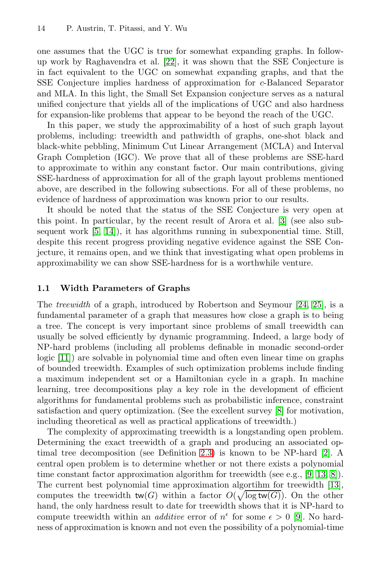one assumes that the UGC is true for somewhat expanding graphs. In followup work by Raghavendra et al. [22], it was shown that the SSE Conjecture is in fact equivalent to the UGC on somewhat expanding graphs, and that the SSE Conjecture implies hardness of approximation for c-Balanced Separator and MLA. In this light, the Small Set Expansion conjecture serves as a natural unified conjecture that yields all of the implications of UGC and also hardness for expansion-like problems that appear to be beyond the reach of the UGC.

In this paper, we study the approximability of a host of such graph layout problems, including: treewidth and pathw[idt](#page-10-0)h of graphs, one-shot black and [b](#page-11-1)lack-white pebbling, Minimum Cut Linear Arrangement (MCLA) and Interval Graph Completion (IGC). We prove that all of these problems are SSE-hard to approximate to within any constant factor. Our main contributions, giving SSE-hardness of approximation for all of the graph layout problems mentioned above, are described in the following subsections. For all of these problems, no evidence of hardness of approximation was known prior to our results.

It should be noted that the status of the SSE Conjecture is very open at this point. In particular, by the recent result o[f A](#page-11-2)r[ora](#page-11-3) et al. [3] (see also subsequent work [5, 14]), it has algorithms running in subexponential time. Still, despite this recent progress providing negative evidence against the SSE Conjecture, it remains open, and we think that investigating what open problems in approximability we can show SSE-hardness for is a worthwhile venture.

#### **1.1 Width Parameters of Graphs**

The *treewidth* of a graph, introduced by Robertson and Seymour [24, 25], is a fundamental parameter of a graph that measures how close a graph is to being a tree. The concept is very important si[nce](#page-11-4) problems of small treewidth can usually be solved efficiently by dynamic programming. Indeed, a large body of NP-hard problems (including all problems definable in monadic second-order logic [11]) are solvable in polynomial time and often even linear time on graphs of bounded treewidth. [Exa](#page-7-0)mples of such optimization [pr](#page-10-1)oblems include finding a maximum independent set or a Hamiltonian cycle in a graph. In machine learning, tree decompositions play a key role in [th](#page-11-5)[e d](#page-11-6)[ev](#page-11-4)elopment of efficient algorithms for fundamental problems such as probabilis[tic i](#page-11-6)nference, constraint satisfaction and query optimization. (See the excellent survey [8] for motivation, including theoretical as well as practical applications of treewidth.)

The complexity of approximating treewidth i[s](#page-11-5) a longstanding open problem. Determining the exact treewidth of a graph and producing an associated optimal tree decomposition (see Definition 2.3) is known to be NP-hard [2]. A central open problem is to determine whether or not there exists a polynomial time constant factor approximation algorithm for treewidth (see e.g., [9, 13, 8]). The current best polynomial time approximation algortihm for treewidth [13], computes the treewidth  $tw(G)$  within a factor  $O(\sqrt{\log tw(G)})$ . On the other hand, the only hardness result to date for treewidth shows that it is NP-hard to compute treewidth within an *additive* error of  $n^{\epsilon}$  for some  $\epsilon > 0$  [9]. No hardness of approximation is known and not even the possibility of a polynomial-time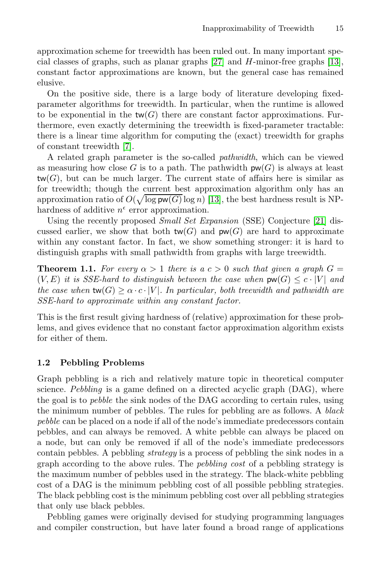approximation scheme for treewidth has been ruled out. In many important special [c](#page-11-7)lasses of graphs, such as planar graphs [27] and H-minor-free graphs [13], constant factor approximations are known, but the general case has remained elusive.

<span id="page-2-0"></span>On the positive side, there is a large body of literature developing fixedparameter algorithms for treewidth. In particular, when the runtime is allowed to be exponential in the  $tw(G)$  $tw(G)$  there are constant factor approximations. Furthermore, even exactly determining the treewidth is fixed-parameter tractable: there is a linear time algorithm for computing the ([exac](#page-11-8)t) treewidth for graphs of constant treewidth [7].

A related graph parameter is the so-called *pathwidth*, which can be viewed as measuring how close G is to a path. The pathwidth  $\mathsf{pw}(G)$  is always at least  $tw(G)$ , but can be much larger. The current state of affairs here is similar as for treewidth; though the current best approximation algorithm only has an approximation ratio of  $O(\sqrt{\log \mathsf{pw}(G)} \log n)$  [13], the best hardness result is NPhardness of additive  $n^{\epsilon}$  error approximation.

Using the recently proposed *Small Set Expansion* (SSE) Conjecture [21] discussed earlier, we show that both  $tw(G)$  and  $pw(G)$  are hard to approximate within any constant factor. In fact, we show something stronger: it is hard to distinguish graphs with small pathwidth from graphs with large treewidth.

**Theorem 1.1.** For every  $\alpha > 1$  there is  $a \, c > 0$  such that given a graph  $G =$  $(V, E)$  *it is SSE-hard to distinguish between the case when*  $\mathsf{pw}(G) \leq c \cdot |V|$  *and the case when*  $tw(G) > \alpha \cdot c \cdot |V|$ *. In particular, both treewidth and pathwidth are SSE-hard to approximate within any constant factor.*

This is the first result giving hardness of (relative) approximation for these problems, and gives evidence that no constant factor approximation algorithm exists for either of them.

#### **1.2 Pebbling Problems**

Graph pebbling is a rich and relatively mature topic in theoretical computer science. *Pebbling* is a game defined on a directed acyclic graph (DAG), where the goal is to *pebble* the sink nodes of the DAG according to certain rules, using the minimum number of pebbles. The rules for pebbling are as follows. A *black pebble* can be placed on a node if all of the node's immediate predecessors contain pebbles, and can always be removed. A white pebble can always be placed on a node, but can only be removed if all of the node's immediate predecessors contain pebbles. A pebbling *strategy* is a process of pebbling the sink nodes in a graph according to the above rules. The *pebbling cost* of a pebbling strategy is the maximum number of pebbles used in the strategy. The black-white pebbling cost of a DAG is the minimum pebbling cost of all possible pebbling strategies. The black pebbling cost is the minimum pebbling cost over all pebbling strategies that only use black pebbles.

Pebbling games were originally devised for studying programming languages and compiler construction, but have later found a broad range of applications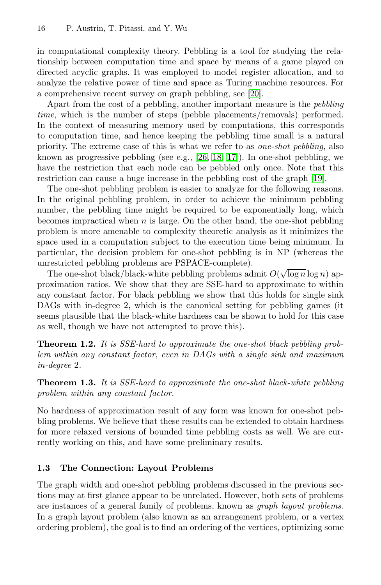in computational complexity theory. Pebbling is a tool for studying the relationship between computation time and space by means of a game played on directed acyclic grap[hs. I](#page-11-9)[t w](#page-11-10)[as e](#page-11-11)mployed to model register allocation, and to analyze the relative power of time and space as Turing machine resources. For a comprehensive recent survey on graph pebbling, s[ee \[](#page-11-12)20].

Apart from the cost of a pebbling, another important measure is the *pebbling time*, which is the number of steps (pebble placements/removals) performed. In the context of measuring memory used by computations, this corresponds to computation time, and hence keeping the pebbling time small is a natural priority. The extreme case of this is what we refer to as *one-shot pebbling*, also known as progressive pebbling (see e.g.,  $[26, 18, 17]$ ). In one-shot pebbling, we have the restriction that each node can be pebbled only once. Note that this restriction can cause a huge increase in the pebbling cost of the graph [19].

<span id="page-3-1"></span><span id="page-3-0"></span>The one-shot pebbling problem is easier to analyze for the following reasons. In the original pebbling problem, in order to achieve the minimum pebbling number, the pebbling time might be required to be exponentially long, which becomes impractical when  $n$  is large. On the other hand, the one-shot pebbling problem is more amenable to complexity theoretic analysis as it minimizes the space used in a computation subject to the execution time being minimum. In particular, the decision problem for one-shot pebbling is in NP (whereas the unrestricted pebbling problems are PSPACE-complete).

<span id="page-3-2"></span>The one-shot black/black-white pebbling problems admit  $O(\sqrt{\log n} \log n)$  approximation ratios. We show that they are SSE-hard to approximate to within any constant factor. For black pebbling we show that this holds for single sink DAGs with in-degree 2, which is the canonical setting for pebbling games (it seems plausible that the black-white hardness can be shown to hold for this case as well, though we have not attempted to prove this).

**Theorem 1.2.** *It is SSE-hard to approximate the one-shot black pebbling problem within any constant factor, even in DAGs with a single sink and maximum in-degree* 2*.*

**Theorem 1.3.** *It is SSE-hard to approximate the one-shot black-white pebbling problem within any constant factor.*

No hardness of approximation result of any form was known for one-shot pebbling problems. We believe that these results can be extended to obtain hardness for more relaxed versions of bounded time pebbling costs as well. We are currently working on this, and have some preliminary results.

## **1.3 The Connection: Layout Problems**

The graph width and one-shot pebbling problems discussed in the previous sections may at first glance appear to be unrelated. However, both sets of problems are instances of a general family of problems, known as *graph layout problems*. In a graph layout problem (also known as an arrangement problem, or a vertex ordering problem), the goal is to find an ordering of the vertices, optimizing some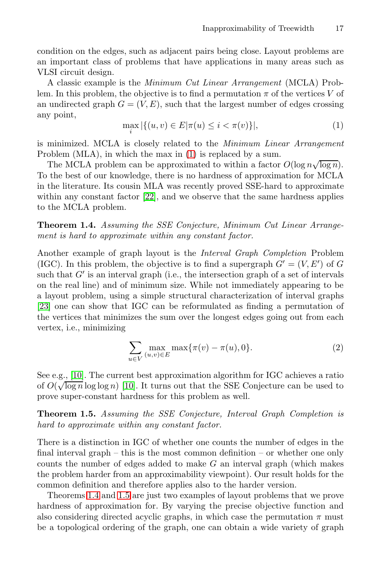condition on the edges, such as adjacent pairs being close. Layout problems are an important class of problems that have applications in many areas such as VLSI circuit design.

A classic example is the *Minimum Cut Linear Arrangement* (MCLA) Problem. In this problem, the objective is to find a permutation  $\pi$  of the vertices V of an undirected graph  $G = (V, E)$ , such that the largest number of edges crossing any poin[t,](#page-11-13)

$$
\max_{i} |\{(u, v) \in E | \pi(u) \le i < \pi(v)\}|,\tag{1}
$$

is minimized. MCLA is closely related to the *Minimum Linear Arrangement* Problem (MLA), in which the max in (1) is replaced by a sum.

The MCLA problem can be approximated to within a factor  $O(\log n \sqrt{\log n})$ . To the best of our knowledge, there is no hardness of approximation for MCLA in the literature. Its cousin MLA was recently proved SSE-hard to approximate within any constant factor [22], and we observe that the same hardness applies to the MCLA problem.

<span id="page-4-0"></span>**Theorem 1.4.** *Assuming the SSE Conjecture, Minimum Cut Linear Arrangement is hard to approximate within any constant factor.*

Another example of graph layout is the *Interval Graph Completion* Problem (IGC). In this problem, the objective is to find a supergraph  $G' = (V, E')$  of G such that  $G'$  is an interval graph (i.e., the intersection graph of a set of intervals on the real line) and of minimum size. While not immediately appearing to be a layout problem, using a simple structural characterization of interval graphs [23[\]](#page-11-14) [on](#page-11-14)e can show that IGC can be reformulated as finding a permutation of the vertices that minimizes the sum over the longest edges going out from each vertex, i.e., minimizing

$$
\sum_{u \in V} \max_{(u,v) \in E} \max \{ \pi(v) - \pi(u), 0 \}. \tag{2}
$$

See e.g., [10]. The current best approximation algorithm for IGC achieves a ratio bee e.g., [10]. The current best approximation algorithm for reconducted a ratio of  $O(\sqrt{\log n} \log \log n)$  [10]. It turns out that the SSE Conjecture can be used to prove super-constant hardness for this problem as well.

**[Theo](#page-4-0)rem 1.5.** *Assuming the SSE Conjecture, Interval Graph Completion is hard to approximate within any constant factor.*

There is a distinction in IGC of whether one counts the number of edges in the final interval graph – this is the most common definition – or whether one only counts the number of edges added to make  $G$  an interval graph (which makes the problem harder from an approximability viewpoint). Our result holds for the common definition and therefore applies also to the harder version.

Theorems 1.4 and 1.5 are just two examples of layout problems that we prove hardness of approximation for. By varying the precise objective function and also considering directed acyclic graphs, in which case the permutation  $\pi$  must be a topological ordering of the graph, one can obtain a wide variety of graph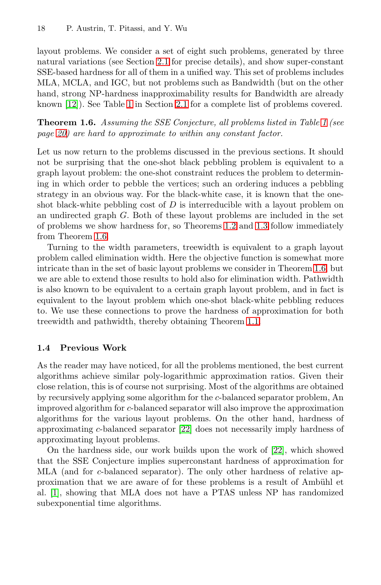<span id="page-5-0"></span>layout problems. We consider a set of eight such problems, generated by three natural variations (see Section 2.1 for precise details), and show super-constant SSE-based hardness for all of them in a unified way. This set of problems includes MLA, MCLA, and IGC, but not problems such as Bandwidth (but on the other hand, strong NP-hardness inapproximability results for Bandwidth are already known [12]). See Table 1 in Section 2.1 for a complete list of problems covered.

**Theorem 1.6.** *Assuming the SSE Conjecture, all problems listed in Table 1 (see page 20) are hard to approximate to within any constant factor.*

Let us now return to the pro[blem](#page-3-0)s di[scus](#page-3-1)sed in the previous sections. It should not be surprising that the one-shot black pebbling problem is equivalent to a graph layout problem: the one-shot constraint reduces the problem to determining in which order to pebble the vertices; such an o[rder](#page-5-0)ing induces a pebbling strategy in an obvious way. For the black-white case, it is known that the oneshot black-white pebbling cost of  $D$  is interreducible with a layout problem on an undirected graph G. Both of these layout problems are included in the set of problems we show hardness for, so Theorems 1.2 and 1.3 follow immediately from Theorem 1.6.

Turning to the width paramete[rs,](#page-2-0) [tr](#page-2-0)eewidth is equivalent to a graph layout problem called elimination width. Here the objective function is somewhat more intricate than in the set of basic layout problems we consider in Theorem 1.6, but we are able to extend those results to hold also for elimination width. Pathwidth is also known to be equivalent to a certain graph layout problem, and in fact is equivalent to the layout problem which one-shot black-white pebbling reduces to. We use these connections to prove the hardness of approximation for both treewidth and pathwidth, thereby obtaining Theorem 1.1.

#### **1.4 Previous [Wor](#page-11-13)k**

As the reader may have noticed, for all the [pro](#page-11-13)blems mentioned, the best current algorithms achieve similar poly-logarithmic approximation ratios. Given their close relation, this is of course not surprising. Most of the algorithms are obtained by recursively applying some algorithm for the c-balanced separator problem, An improved algorithm for c-balanced separator will also improve the approximation algorithms for the various layout problems. On the other hand, hardness of approximating c-balanced separator [22] does not necessarily imply hardness of approximating layout problems.

On the hardness side, our work builds upon the work of [22], which showed that the SSE Conjecture implies superconstant hardness of approximation for MLA (and for c-balanced separator). The only other hardness of relative approximation that we are aware of for these problems is a result of Ambühl et al. [1], showing that MLA does not have a PTAS unless NP has randomized subexponential time algorithms.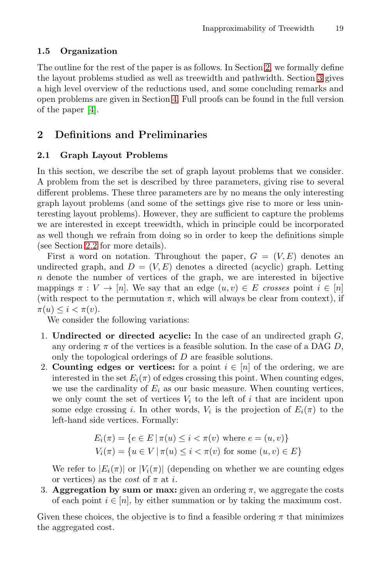### <span id="page-6-0"></span>**1.5 Organization**

The outline for the rest of the paper is as follows. In Section 2, we formally define the layout problems studied as well as treewidth and pathwidth. Section 3 gives a high level overview of the reductions used, and some concluding remarks and open problems are given in Section 4. Full proofs can be found in the full version of the paper [4].

## **2 Definitions and Preliminaries**

#### **2.1 Graph Layout Problems**

In this section, we describe the set of graph layout problems that we consider. A problem from the set is described by three parameters, giving rise to several different problems. These three parameters are by no means the only interesting graph layout problems (and some of the settings give rise to more or less uninteresting layout problems). However, they are sufficient to capture the problems we are interested in except treewidth, which in principle could be incorporated as well though we refrain from doing so in order to keep the definitions simple (see Section 2.2 for more details).

First a word on notation. Throughout the paper,  $G = (V, E)$  denotes an undirected graph, and  $D = (V, E)$  denotes a directed (acyclic) graph. Letting  $n$  denote the number of vertices of the graph, we are interested in bijective mappings  $\pi : V \to [n]$ . We say that an edge  $(u, v) \in E$  *crosses* point  $i \in [n]$ (with respect to the permutation  $\pi$ , which will always be clear from context), if  $\pi(u) \leq i \leq \pi(v)$ .

We consider the following variations:

- 1. **Undirected or directed acyclic:** In the case of an undirected graph G, any ordering  $\pi$  of the vertices is a feasible solution. In the case of a DAG D, only the topological orderings of D are feasible solutions.
- 2. **Counting edges or vertices:** for a point  $i \in [n]$  of the ordering, we are interested in the set  $E_i(\pi)$  of edges crossing this point. When counting edges, we use the cardinality of  $E_i$  as our basic measure. When counting vertices, we only count the set of vertices  $V_i$  to the left of i that are incident upon some edge crossing i. In other words,  $V_i$  is the projection of  $E_i(\pi)$  to the left-hand side vertices. Formally:

$$
E_i(\pi) = \{ e \in E \mid \pi(u) \le i < \pi(v) \text{ where } e = (u, v) \}
$$
\n
$$
V_i(\pi) = \{ u \in V \mid \pi(u) \le i < \pi(v) \text{ for some } (u, v) \in E \}
$$

We refer to  $|E_i(\pi)|$  or  $|V_i(\pi)|$  (depending on whether we are counting edges or vertices) as the *cost* of  $\pi$  at *i*.

3. **Aggregation by sum or max:** given an ordering  $\pi$ , we aggregate the costs of each point  $i \in [n]$ , by either summation or by taking the maximum cost.

Given these choices, the objective is to find a feasible ordering  $\pi$  that minimizes the aggregated cost.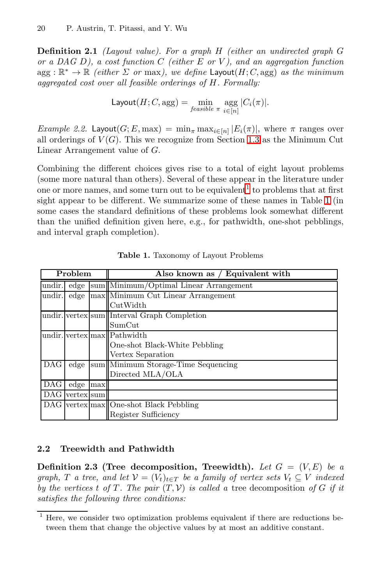**Definition 2.1** *(Layout value). For a graph* H *(either an undirected graph* G *or a DAG* D*), a cost function* C *([eithe](#page-3-2)r* E *or* V *), and an aggregation function*  $\arg g : \mathbb{R}^* \to \mathbb{R}$  *(either*  $\Sigma$  *or* max*), we define* Layout $(H; C, \text{agg})$  *as the minimum aggregated cost over all feasible orderings of* H*. Formally:*

<span id="page-7-1"></span>
$$
\textsf{Layout}(H;C,\text{agg}) = \min_{\text{feasible } \pi} \underset{i \in [n]}{\text{agg }} |C_i(\pi)|.
$$

*Example 2.2.* Layout $(G; E, \max) = \min_{\pi} \max_{i \in [n]} |E_i(\pi)|$ , where  $\pi$  ranges over all orderings of  $V(G)$ . This we recognize from Section 1.3 as the Minimum Cut Linear Arrangement value of G.

Combining the different choices gives rise to a total of eight layout problems (some more natural than others). Several of these appear in the literature under one or more names, and some turn out to be equivalent<sup>1</sup> to problems that at first sight appear to be different. We summarize some of these names in Table 1 (in some cases the standard definitions of these problems look somewhat different than the unified definition given here, e.g., for pathwidth, one-shot pebblings, and interval graph completion).

<span id="page-7-0"></span>

| Problem   |               |     | Also known as / Equivalent with             |
|-----------|---------------|-----|---------------------------------------------|
| undir.    | edge          |     | sum Minimum/Optimal Linear Arrangement      |
| undir.    | edge          |     | max Minimum Cut Linear Arrangement          |
|           |               |     | CutWidth                                    |
|           |               |     | undir. vertex sum Interval Graph Completion |
|           |               |     | SumCut                                      |
|           |               |     | undir. vertex max Pathwidth                 |
|           |               |     | One-shot Black-White Pebbling               |
|           |               |     | Vertex Separation                           |
| DAG       | edge          |     | sum Minimum Storage-Time Sequencing         |
|           |               |     | Directed MLA/OLA                            |
| DAG       | $_{\rm edge}$ | max |                                             |
| $\rm DAG$ | vertex sum    |     |                                             |
|           |               |     | DAG vertex max One-shot Black Pebbling      |
|           |               |     | Register Sufficiency                        |

**Table 1.** Taxonomy of Layout Problems

## <span id="page-7-2"></span>**2.2 Treewidth and Pathwidth**

**Definition 2.3 (Tree decomposition, Treewidth).** Let  $G = (V, E)$  be a *graph,* T *a tree, and let*  $V = (V_t)_{t \in T}$  *be a family of vertex sets*  $V_t \subseteq V$  *indexed by the vertices*  $t$  *of*  $T$ *. The pair*  $(T, V)$  *is called a* tree decomposition *of*  $G$  *if it satisfies the following three conditions:*

<sup>1</sup> Here, we consider two optimization problems equivalent if there are reductions between them that change the objective values by at most an additive constant.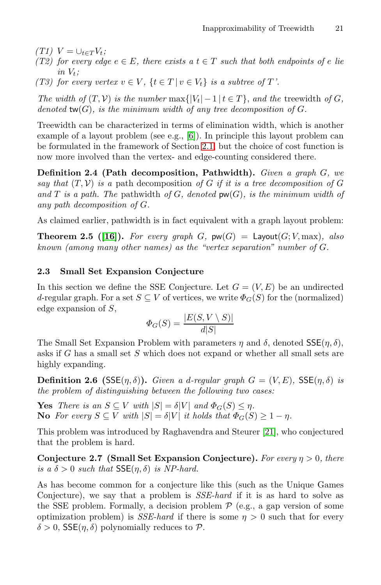$(T1)$   $V = \bigcup_{t \in T} V_t$ ;

*(T2)* for [e](#page-11-15)very edge  $e \in E$ [,](#page-6-0) there exists a  $t \in T$  such that both endpoints of e lie  $in$   $V_t$ *;* 

*(T3) for every vertex*  $v \in V$ ,  $\{t \in T \mid v \in V_t\}$  *is a subtree of*  $T$ .

*The width of*  $(T, V)$  *is the number* max $\{|V_t| - 1 | t \in T\}$ , and the treewidth of G, *denoted*  $tw(G)$ *, is the minimum width of any tree decomposition of G.* 

Treewidth can be characterized in terms of elimination width, which is another example of a layout problem (see e.g., [6]). In principle this layout problem can be formulated in the framework of Section 2.1, but the choice of cost function is [no](#page-11-16)w more involved than the vertex- and edge-counting considered there.

**Definition 2.4 (Path decomposition, Pathwidth).** *Given a graph* G*, we say that*  $(T, V)$  *is a* path decomposition of G *if it is a tree decomposition of* G *and* T *is a path. The* pathwidth *of* G*, denoted* pw(G)*, is the minimum width of any path decomposition of* G*.*

As claimed earlier, pathwidth is in fact equivalent with a graph layout problem:

**Theorem 2.5 ([16]).** For every graph G,  $pw(G) = \text{Lawout}(G; V, \text{max})$ , also *known (among many other names) as the "vertex separation" number of* G*.*

## **2.3 Small Set Expansion Conjecture**

In this section we define the SSE Conjecture. Let  $G = (V, E)$  be an undirected d-regular graph. For a set  $S \subseteq V$  of vertices, we write  $\Phi_G(S)$  for the (normalized) edge expansion of S,

$$
\Phi_G(S) = \frac{|E(S, V \setminus S)|}{d|S|}
$$

The Small Set Expansion Problem with parameters  $\eta$  and  $\delta$ , denoted  $\mathsf{SSE}(\eta, \delta)$ , asks if G has a small set S which does [not](#page-11-8) expand or whether all small sets are highly expanding.

**Definition 2.6** (SSE $(\eta, \delta)$ ). *Given a d-regular graph*  $G = (V, E)$ , SSE $(\eta, \delta)$  *is the problem of distinguishing between the following two cases:*

**Yes** *There is an*  $S \subseteq V$  *with*  $|S| = \delta |V|$  *and*  $\Phi_G(S) \leq \eta$ *.* **No** For every  $S \subseteq V$  with  $|S| = \delta |V|$  it holds that  $\Phi_G(S) \geq 1 - \eta$ .

This problem was introduced by Raghavendra and Steurer [21], who conjectured that the problem is hard.

**Conjecture 2.7 (Small Set Expansion Conjecture).** *For every* η > 0*, there is a*  $\delta > 0$  *such that*  $SSE(\eta, \delta)$  *is NP-hard.* 

As has become common for a conjecture like this (such as the Unique Games Conjecture), we say that a problem is *SSE-hard* if it is as hard to solve as the SSE problem. Formally, a decision problem  $P$  (e.g., a gap version of some optimization problem) is *SSE-hard* if there is some  $\eta > 0$  such that for every  $\delta > 0$ , SSE $(\eta, \delta)$  polynomially reduces to P.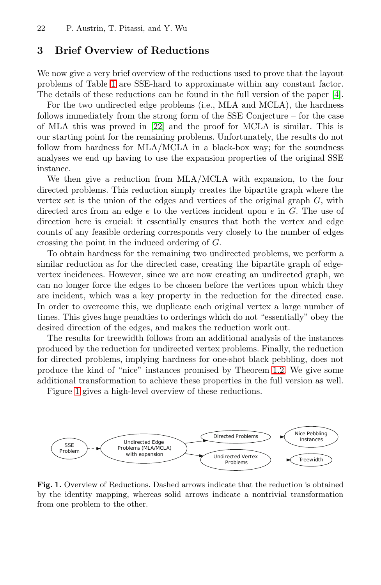# **3 Brie[f](#page-11-13) [O](#page-11-13)verview of Reductions**

We now give a very brief overview of the reductions used to prove that the layout problems of Table 1 are SSE-hard to approximate within any constant factor. The details of these reductions can be found in the full version of the paper [4].

For the two undirected edge problems (i.e., MLA and MCLA), the hardness follows immediately from the strong form of the SSE Conjecture – for the case of MLA this was proved in [22] and the proof for MCLA is similar. This is our starting point for the remaining problems. Unfortunately, the results do not follow from hardness for MLA/MCLA in a black-box way; for the soundness analyses we end up having to use the expansion properties of the original SSE instance.

We then give a reduction from MLA/MCLA with expansion, to the four directed problems. This reduction simply creates the bipartite graph where the vertex set is the union of the edges and vertices of the original graph  $G$ , with directed arcs from an edge  $e$  to the vertices incident upon  $e$  in  $G$ . The use of direction here is crucial: it essentially ensures that both the vertex and edge counts of any feasible ordering corresponds very closely to the number of edges crossing the point in the induced ordering of G.

To obtain hardness for the remaining two undirected problems, we perform a similar reduction as for the directed case, creating the bipartite graph of edgevertex incidences. However, since we are now creating an undirected graph, we can no longer force the edges to be chose[n be](#page-3-0)fore the vertices upon which they are incident, which was a key property in the reduction for the directed case. In order to overcome this, we duplicate each original vertex a large number of times. This gives huge penalties to orderings which do not "essentially" obey the desired direction of the edges, and makes the reduction work out.

The results for treewidth follows from an additional analysis of the instances produced by the reduction for undirected vertex problems. Finally, the reduction for directed problems, implying hardness for one-shot black pebbling, does not produce the kind of "nice" instances promised by Theorem 1.2. We give some additional transformation to achieve these properties in the full version as well.

Figure 1 gives a high-level overview of these reductions.



**Fig. 1.** Overview of Reductions. Dashed arrows indicate that the reduction is obtained by the identity mapping, whereas solid arrows indicate a nontrivial transformation from one problem to the other.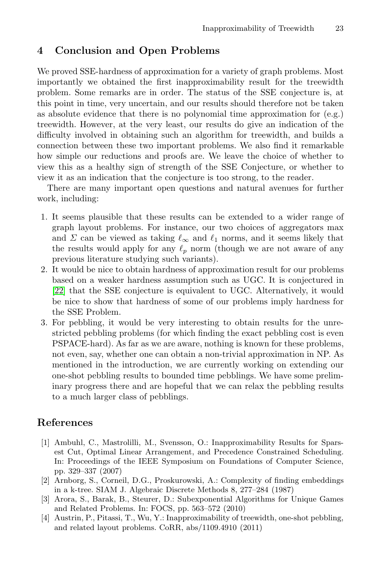# **4 Conclusion and Open Problems**

We proved SSE-hardness of approximation for a variety of graph problems. Most importantly we obtained the first inapproximability result for the treewidth problem. Some remarks are in order. The status of the SSE conjecture is, at this point in time, very uncertain, and our results should therefore not be taken as absolute evidence that there is no polynomial time approximation for (e.g.) treewidth. However, at the very least, our results do give an indication of the difficulty involved in obtaining such an algorithm for treewidth, and builds a connection between these two important problems. We also find it remarkable how simple our reductions and proofs are. We leave the choice of whether to view this as a healthy sign of strength of the SSE Conjecture, or whether to view it as an indication that the conjecture is too strong, to the reader.

There are many important open questions and natural avenues for further work, including:

- 1. It seems plausible that these results can be extended to a wider range of graph layout problems. For instance, our two choices of aggregators max and  $\Sigma$  can be viewed as taking  $\ell_{\infty}$  and  $\ell_1$  norms, and it seems likely that the results would apply for any  $\ell_p$  norm (though we are not aware of any previous literature studying such variants).
- 2. It would be nice to obtain hardness of approximation result for our problems based on a weaker hardness assumption such as UGC. It is conjectured in [22] that the SSE conjecture is equivalent to UGC. Alternatively, it would be nice to show that hardness of some of our problems imply hardness for the SSE Problem.
- <span id="page-10-1"></span><span id="page-10-0"></span>3. For pebbling, it would be very interesting to obtain results for the unrestricted pebbling problems (for which finding the exact pebbling cost is even PSPACE-hard). As far as we are aware, nothing is known for these problems, not even, say, whether one can obtain a non-trivial approximation in NP. As mentioned in the introduction, we are currently working on extending our one-shot pebbling results to bounded time pebblings. We have some preliminary progress there and are hopeful that we can relax the pebbling results to a much larger class of pebblings.

# **References**

- [1] Ambuhl, C., Mastrolilli, M., Svensson, O.: Inapproximability Results for Sparsest Cut, Optimal Linear Arrangement, and Precedence Constrained Scheduling. In: Proceedings of the IEEE Symposium on Foundations of Computer Science, pp. 329–337 (2007)
- [2] Arnborg, S., Corneil, D.G., Proskurowski, A.: Complexity of finding embeddings in a k-tree. SIAM J. Algebraic Discrete Methods 8, 277–284 (1987)
- [3] Arora, S., Barak, B., Steurer, D.: Subexponential Algorithms for Unique Games and Related Problems. In: FOCS, pp. 563–572 (2010)
- [4] Austrin, P., Pitassi, T., Wu, Y.: Inapproximability of treewidth, one-shot pebbling, and related layout problems. CoRR, abs/1109.4910 (2011)